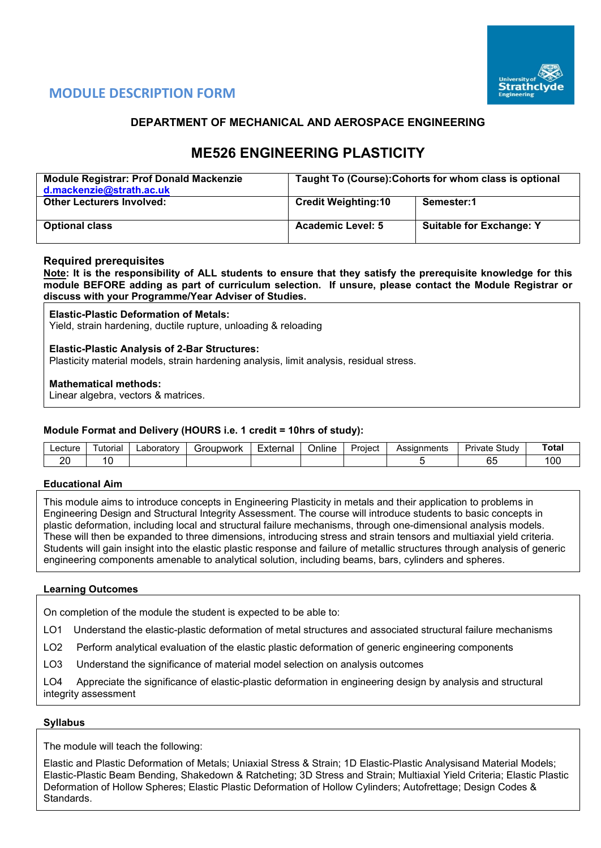

# **MODULE DESCRIPTION FORM**

## **DEPARTMENT OF MECHANICAL AND AEROSPACE ENGINEERING**

# **ME526 ENGINEERING PLASTICITY**

| <b>Module Registrar: Prof Donald Mackenzie</b><br>d.mackenzie@strath.ac.uk | Taught To (Course): Cohorts for whom class is optional |                                 |  |  |  |  |
|----------------------------------------------------------------------------|--------------------------------------------------------|---------------------------------|--|--|--|--|
| <b>Other Lecturers Involved:</b>                                           | <b>Credit Weighting:10</b>                             | Semester:1                      |  |  |  |  |
| <b>Optional class</b>                                                      | <b>Academic Level: 5</b>                               | <b>Suitable for Exchange: Y</b> |  |  |  |  |

## **Required prerequisites**

**Note: It is the responsibility of ALL students to ensure that they satisfy the prerequisite knowledge for this module BEFORE adding as part of curriculum selection. If unsure, please contact the Module Registrar or discuss with your Programme/Year Adviser of Studies.** 

#### **Elastic-Plastic Deformation of Metals:**

Yield, strain hardening, ductile rupture, unloading & reloading

## **Elastic-Plastic Analysis of 2-Bar Structures:**

Plasticity material models, strain hardening analysis, limit analysis, residual stress.

## **Mathematical methods:**

Linear algebra, vectors & matrices.

## **Module Format and Delivery (HOURS i.e. 1 credit = 10hrs of study):**

| ∟ecture        | utorıa | ∟aborator≅ | unwork!<br>.<br>. . | <b>External</b> | <b>Jnline</b> | Proiect | ments<br>$\sim$ | Study<br>'rıvate  | $\tau$ otal |
|----------------|--------|------------|---------------------|-----------------|---------------|---------|-----------------|-------------------|-------------|
| oc<br><u>.</u> |        |            |                     |                 |               |         |                 | $\sim$<br>И<br>u. | 00          |

## **Educational Aim**

This module aims to introduce concepts in Engineering Plasticity in metals and their application to problems in Engineering Design and Structural Integrity Assessment. The course will introduce students to basic concepts in plastic deformation, including local and structural failure mechanisms, through one-dimensional analysis models. These will then be expanded to three dimensions, introducing stress and strain tensors and multiaxial yield criteria. Students will gain insight into the elastic plastic response and failure of metallic structures through analysis of generic engineering components amenable to analytical solution, including beams, bars, cylinders and spheres.

#### **Learning Outcomes**

On completion of the module the student is expected to be able to:

LO1 Understand the elastic-plastic deformation of metal structures and associated structural failure mechanisms

LO2 Perform analytical evaluation of the elastic plastic deformation of generic engineering components

LO3 Understand the significance of material model selection on analysis outcomes

LO4 Appreciate the significance of elastic-plastic deformation in engineering design by analysis and structural integrity assessment

#### **Syllabus**

The module will teach the following:

Elastic and Plastic Deformation of Metals; Uniaxial Stress & Strain; 1D Elastic-Plastic Analysisand Material Models; Elastic-Plastic Beam Bending, Shakedown & Ratcheting; 3D Stress and Strain; Multiaxial Yield Criteria; Elastic Plastic Deformation of Hollow Spheres; Elastic Plastic Deformation of Hollow Cylinders; Autofrettage; Design Codes & Standards.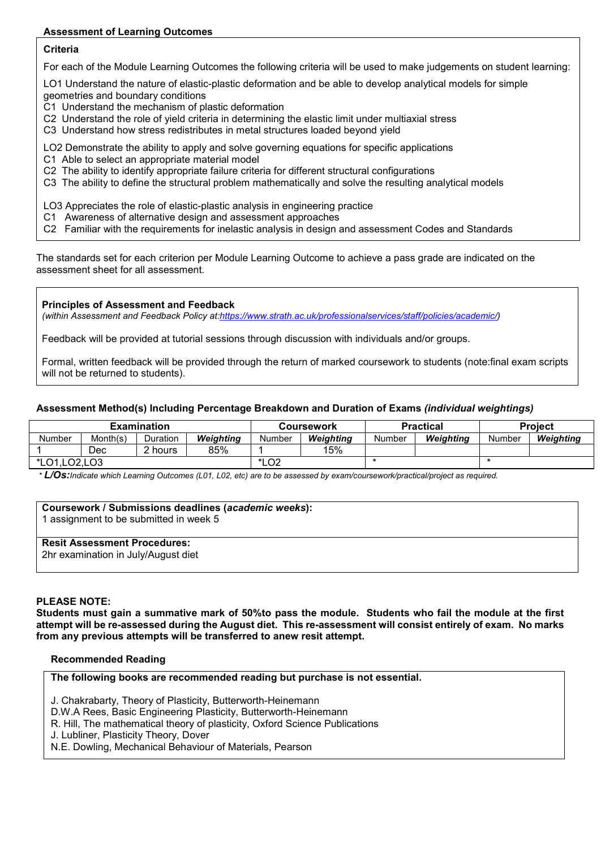## **Assessment of Learning Outcomes**

## **Criteria**

For each of the Module Learning Outcomes the following criteria will be used to make judgements on student learning:

LO1 Understand the nature of elastic-plastic deformation and be able to develop analytical models for simple geometries and boundary conditions

- C1 Understand the mechanism of plastic deformation
- C2 Understand the role of yield criteria in determining the elastic limit under multiaxial stress
- C3 Understand how stress redistributes in metal structures loaded beyond yield

LO2 Demonstrate the ability to apply and solve governing equations for specific applications

- C1 Able to select an appropriate material model
- C2 The ability to identify appropriate failure criteria for different structural configurations
- C3 The ability to define the structural problem mathematically and solve the resulting analytical models

LO3 Appreciates the role of elastic-plastic analysis in engineering practice

- C1 Awareness of alternative design and assessment approaches
- C2 Familiar with the requirements for inelastic analysis in design and assessment Codes and Standards

The standards set for each criterion per Module Learning Outcome to achieve a pass grade are indicated on the assessment sheet for all assessment.

#### **Principles of Assessment and Feedback**

*(within Assessment and Feedback Policy a[t:https://www.strath.ac.uk/professionalservices/staff/policies/academic/\)](https://www.strath.ac.uk/professionalservices/staff/policies/academic/)*

Feedback will be provided at tutorial sessions through discussion with individuals and/or groups.

Formal, written feedback will be provided through the return of marked coursework to students (note:final exam scripts will not be returned to students).

## **Assessment Method(s) Including Percentage Breakdown and Duration of Exams** *(individual weightings)*

|                |          | <b>Examination</b> |           |        | <b>Coursework</b> |        | <b>Practical</b> | <b>Project</b> |           |  |
|----------------|----------|--------------------|-----------|--------|-------------------|--------|------------------|----------------|-----------|--|
| Number         | Month(s) | Duration           | Weiahtina | Number | Weiahtina         | Number | Weiahtina        | Number         | Weiahtina |  |
|                | Dec      | hours              | 85%       |        | 15%               |        |                  |                |           |  |
| *LO1, LO2, LO3 |          |                    |           | *LO2   |                   |        |                  |                |           |  |

*\* L/Os:Indicate which Learning Outcomes (L01, L02, etc) are to be assessed by exam/coursework/practical/project as required.*

#### **Coursework / Submissions deadlines (***academic weeks***):**

1 assignment to be submitted in week 5

### **Resit Assessment Procedures:**

2hr examination in July/August diet

## **PLEASE NOTE:**

**Students must gain a summative mark of 50%to pass the module. Students who fail the module at the first attempt will be re-assessed during the August diet. This re-assessment will consist entirely of exam. No marks from any previous attempts will be transferred to anew resit attempt.**

#### **Recommended Reading**

**The following books are recommended reading but purchase is not essential.**

J. Chakrabarty, Theory of Plasticity, Butterworth-Heinemann

D.W.A Rees, Basic Engineering Plasticity, Butterworth-Heinemann

R. Hill, The mathematical theory of plasticity, Oxford Science Publications

J. Lubliner, Plasticity Theory, Dover

N.E. Dowling, Mechanical Behaviour of Materials, Pearson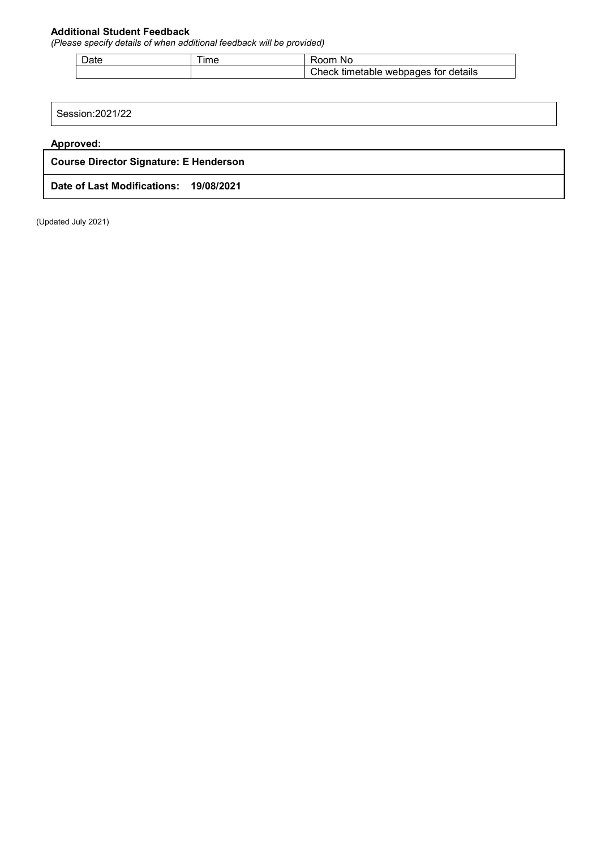## **Additional Student Feedback**

*(Please specify details of when additional feedback will be provided)*

| $\sim$<br>ا∂ص | $Im\epsilon$ | nnm<br>Nc                                     |
|---------------|--------------|-----------------------------------------------|
|               |              | tor details<br>webpages<br>;heck<br>timetable |

Session:2021/22

**Approved:**

**Course Director Signature: E Henderson**

**Date of Last Modifications: 19/08/2021**

(Updated July 2021)